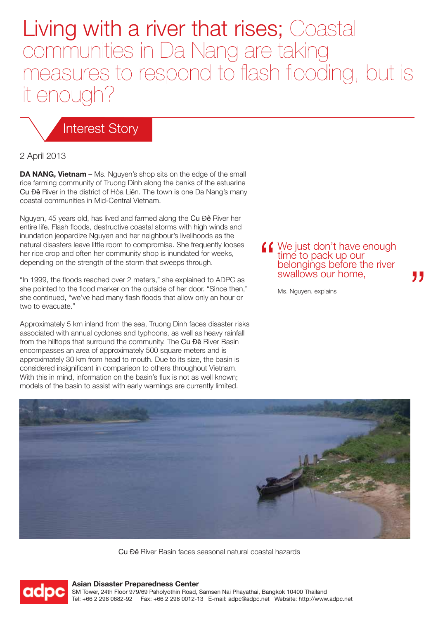# Living with a river that rises; Coastal communities in Da Nang are taking measures to respond to flash flooding, but is it enough?

# Interest Story

#### 2 April 2013

**DA NANG, Vietnam** – Ms. Nguyen's shop sits on the edge of the small rice farming community of Truong Dinh along the banks of the estuarine Cu Đê River in the district of Hòa Liên. The town is one Da Nang's many coastal communities in Mid-Central Vietnam.

Nguyen, 45 years old, has lived and farmed along the Cu Đê River her entire life. Flash floods, destructive coastal storms with high winds and inundation jeopardize Nguyen and her neighbour's livelihoods as the natural disasters leave little room to compromise. She frequently looses her rice crop and often her community shop is inundated for weeks, depending on the strength of the storm that sweeps through.

"In 1999, the floods reached over 2 meters," she explained to ADPC as she pointed to the flood marker on the outside of her door. "Since then," she continued, "we've had many flash floods that allow only an hour or two to evacuate."

Approximately 5 km inland from the sea, Truong Dinh faces disaster risks associated with annual cyclones and typhoons, as well as heavy rainfall from the hilltops that surround the community. The Cu Đê River Basin encompasses an area of approximately 500 square meters and is approximately 30 km from head to mouth. Due to its size, the basin is considered insignificant in comparison to others throughout Vietnam. With this in mind, information on the basin's flux is not as well known; models of the basin to assist with early warnings are currently limited.

**44** We just don't have enough time to pack up our belongings before the river swallows our home,

Ms. Nguyen, explains



Cu Đê River Basin faces seasonal natural coastal hazards



#### **Asian Disaster Preparedness Center**

SM Tower, 24th Floor 979/69 Paholyothin Road, Samsen Nai Phayathai, Bangkok 10400 Thailand Tel: +66 2 298 0682-92 Fax: +66 2 298 0012-13 E-mail: adpc@adpc.net Website: http://www.adpc.net